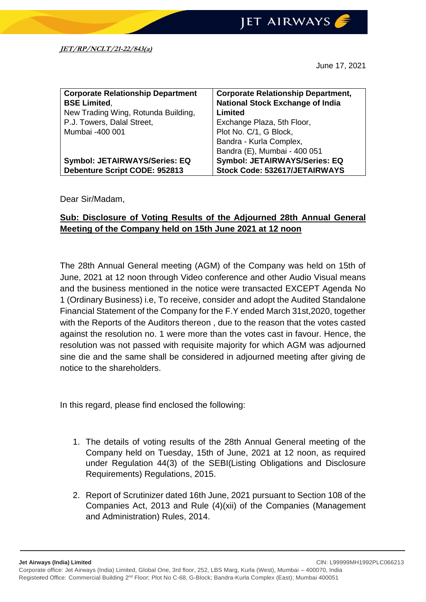June 17, 2021

| <b>Corporate Relationship Department</b> | <b>Corporate Relationship Department,</b> |
|------------------------------------------|-------------------------------------------|
| <b>BSE Limited,</b>                      | <b>National Stock Exchange of India</b>   |
| New Trading Wing, Rotunda Building,      | Limited                                   |
| P.J. Towers, Dalal Street,               | Exchange Plaza, 5th Floor,                |
| Mumbai -400 001                          | Plot No. C/1, G Block,                    |
|                                          | Bandra - Kurla Complex,                   |
|                                          | Bandra (E), Mumbai - 400 051              |
| <b>Symbol: JETAIRWAYS/Series: EQ</b>     | <b>Symbol: JETAIRWAYS/Series: EQ</b>      |
| Debenture Script CODE: 952813            | Stock Code: 532617/JETAIRWAYS             |

Dear Sir/Madam,

## **Sub: Disclosure of Voting Results of the Adjourned 28th Annual General Meeting of the Company held on 15th June 2021 at 12 noon**

The 28th Annual General meeting (AGM) of the Company was held on 15th of June, 2021 at 12 noon through Video conference and other Audio Visual means and the business mentioned in the notice were transacted EXCEPT Agenda No 1 (Ordinary Business) i.e, To receive, consider and adopt the Audited Standalone Financial Statement of the Company for the F.Y ended March 31st,2020, together with the Reports of the Auditors thereon , due to the reason that the votes casted against the resolution no. 1 were more than the votes cast in favour. Hence, the resolution was not passed with requisite majority for which AGM was adjourned sine die and the same shall be considered in adjourned meeting after giving de notice to the shareholders.

In this regard, please find enclosed the following:

- 1. The details of voting results of the 28th Annual General meeting of the Company held on Tuesday, 15th of June, 2021 at 12 noon, as required under Regulation 44(3) of the SEBI(Listing Obligations and Disclosure Requirements) Regulations, 2015.
- 2. Report of Scrutinizer dated 16th June, 2021 pursuant to Section 108 of the Companies Act, 2013 and Rule (4)(xii) of the Companies (Management and Administration) Rules, 2014.